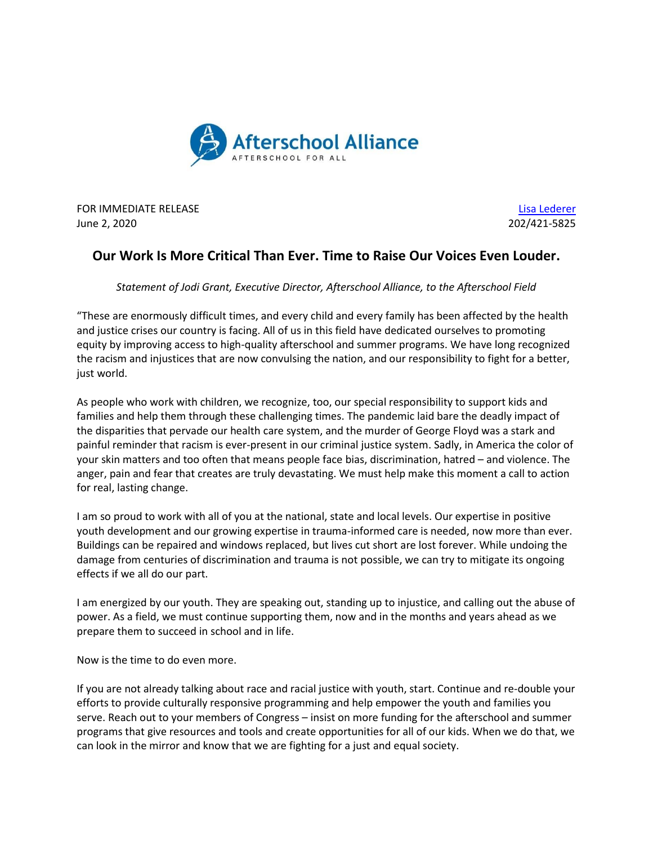

**FOR IMMEDIATE RELEASE** [Lisa Lederer](mailto:lisa@prsolutionsdc.com?subject=New%20York%20Life%20Fdtn/Afterschool%20Alliance) June 2, 2020 202/421-5825

## **Our Work Is More Critical Than Ever. Time to Raise Our Voices Even Louder.**

*Statement of Jodi Grant, Executive Director, Afterschool Alliance, to the Afterschool Field*

"These are enormously difficult times, and every child and every family has been affected by the health and justice crises our country is facing. All of us in this field have dedicated ourselves to promoting equity by improving access to high-quality afterschool and summer programs. We have long recognized the racism and injustices that are now convulsing the nation, and our responsibility to fight for a better, just world.

As people who work with children, we recognize, too, our special responsibility to support kids and families and help them through these challenging times. The pandemic laid bare the deadly impact of the disparities that pervade our health care system, and the murder of George Floyd was a stark and painful reminder that racism is ever-present in our criminal justice system. Sadly, in America the color of your skin matters and too often that means people face bias, discrimination, hatred – and violence. The anger, pain and fear that creates are truly devastating. We must help make this moment a call to action for real, lasting change.

I am so proud to work with all of you at the national, state and local levels. Our expertise in positive youth development and our growing expertise in trauma-informed care is needed, now more than ever. Buildings can be repaired and windows replaced, but lives cut short are lost forever. While undoing the damage from centuries of discrimination and trauma is not possible, we can try to mitigate its ongoing effects if we all do our part.

I am energized by our youth. They are speaking out, standing up to injustice, and calling out the abuse of power. As a field, we must continue supporting them, now and in the months and years ahead as we prepare them to succeed in school and in life.

Now is the time to do even more.

If you are not already talking about race and racial justice with youth, start. Continue and re-double your efforts to provide culturally responsive programming and help empower the youth and families you serve. Reach out to your members of Congress – insist on more funding for the afterschool and summer programs that give resources and tools and create opportunities for all of our kids. When we do that, we can look in the mirror and know that we are fighting for a just and equal society.